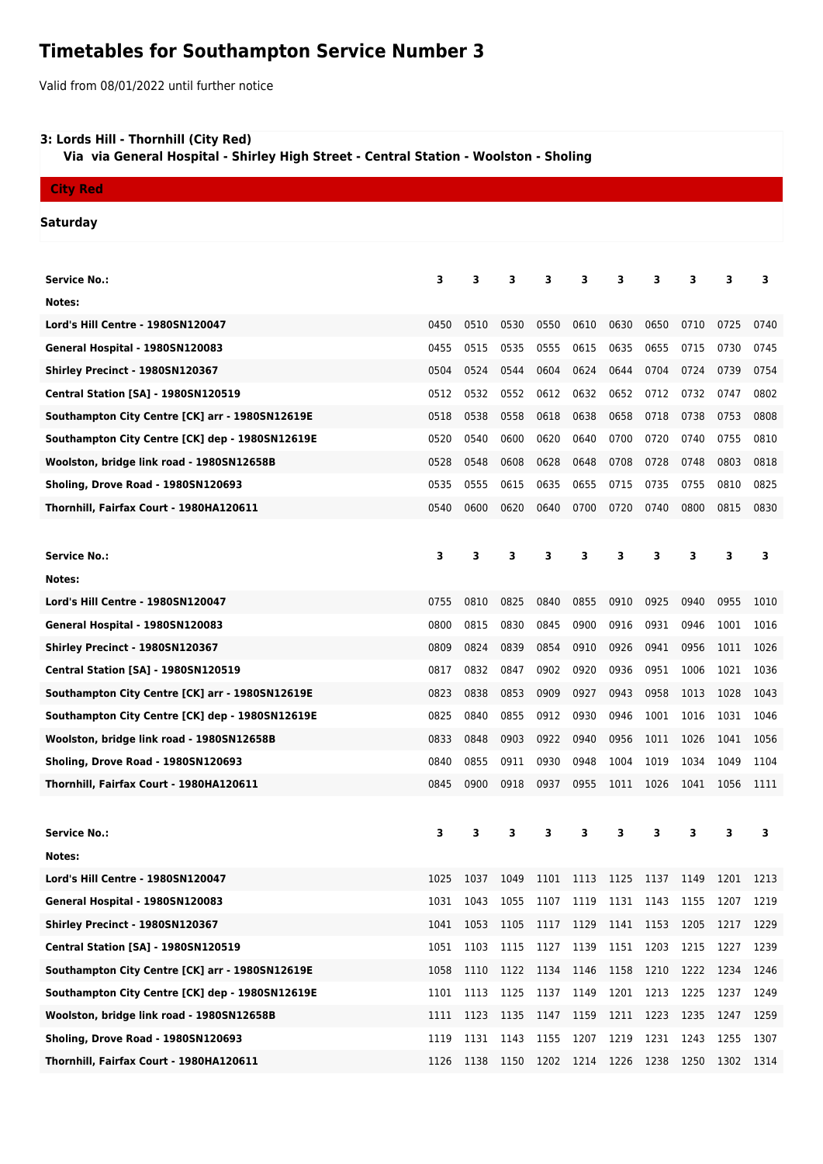# **Timetables for Southampton Service Number 3**

Valid from 08/01/2022 until further notice

# **3: Lords Hill - Thornhill (City Red)**

 **Via via General Hospital - Shirley High Street - Central Station - Woolston - Sholing**

# **City Red**

#### **Saturday**

| <b>Service No.:</b>                             | 3    | 3    | 3    | 3    | 3         | з    | з    | 3    | 3    | 3    |
|-------------------------------------------------|------|------|------|------|-----------|------|------|------|------|------|
| Notes:                                          |      |      |      |      |           |      |      |      |      |      |
| Lord's Hill Centre - 1980SN120047               | 0450 | 0510 | 0530 | 0550 | 0610      | 0630 | 0650 | 0710 | 0725 | 0740 |
| General Hospital - 1980SN120083                 | 0455 | 0515 | 0535 | 0555 | 0615      | 0635 | 0655 | 0715 | 0730 | 0745 |
| Shirley Precinct - 1980SN120367                 | 0504 | 0524 | 0544 | 0604 | 0624      | 0644 | 0704 | 0724 | 0739 | 0754 |
| <b>Central Station [SA] - 1980SN120519</b>      | 0512 | 0532 | 0552 | 0612 | 0632      | 0652 | 0712 | 0732 | 0747 | 0802 |
| Southampton City Centre [CK] arr - 1980SN12619E | 0518 | 0538 | 0558 | 0618 | 0638      | 0658 | 0718 | 0738 | 0753 | 0808 |
| Southampton City Centre [CK] dep - 1980SN12619E | 0520 | 0540 | 0600 | 0620 | 0640      | 0700 | 0720 | 0740 | 0755 | 0810 |
| Woolston, bridge link road - 1980SN12658B       | 0528 | 0548 | 0608 | 0628 | 0648      | 0708 | 0728 | 0748 | 0803 | 0818 |
| Sholing, Drove Road - 1980SN120693              | 0535 | 0555 | 0615 | 0635 | 0655      | 0715 | 0735 | 0755 | 0810 | 0825 |
| Thornhill, Fairfax Court - 1980HA120611         | 0540 | 0600 | 0620 | 0640 | 0700      | 0720 | 0740 | 0800 | 0815 | 0830 |
|                                                 |      |      |      |      |           |      |      |      |      |      |
| <b>Service No.:</b>                             | 3    | 3    | 3    | 3    | 3         | 3    | 3    | 3    | 3    | 3    |
| Notes:                                          |      |      |      |      |           |      |      |      |      |      |
| Lord's Hill Centre - 1980SN120047               | 0755 | 0810 | 0825 | 0840 | 0855      | 0910 | 0925 | 0940 | 0955 | 1010 |
| General Hospital - 1980SN120083                 | 0800 | 0815 | 0830 | 0845 | 0900      | 0916 | 0931 | 0946 | 1001 | 1016 |
| Shirley Precinct - 1980SN120367                 | 0809 | 0824 | 0839 | 0854 | 0910      | 0926 | 0941 | 0956 | 1011 | 1026 |
| <b>Central Station [SA] - 1980SN120519</b>      | 0817 | 0832 | 0847 | 0902 | 0920      | 0936 | 0951 | 1006 | 1021 | 1036 |
| Southampton City Centre [CK] arr - 1980SN12619E | 0823 | 0838 | 0853 | 0909 | 0927      | 0943 | 0958 | 1013 | 1028 | 1043 |
| Southampton City Centre [CK] dep - 1980SN12619E | 0825 | 0840 | 0855 | 0912 | 0930      | 0946 | 1001 | 1016 | 1031 | 1046 |
| Woolston, bridge link road - 1980SN12658B       | 0833 | 0848 | 0903 | 0922 | 0940      | 0956 | 1011 | 1026 | 1041 | 1056 |
| Sholing, Drove Road - 1980SN120693              | 0840 | 0855 | 0911 | 0930 | 0948      | 1004 | 1019 | 1034 | 1049 | 1104 |
| Thornhill, Fairfax Court - 1980HA120611         | 0845 | 0900 | 0918 | 0937 | 0955      | 1011 | 1026 | 1041 | 1056 | 1111 |
|                                                 |      |      |      |      |           |      |      |      |      |      |
| <b>Service No.:</b>                             | з    | 3    | 3    | 3    | 3         | 3    | 3    | 3    | 3    | 3    |
| Notes:                                          |      |      |      |      |           |      |      |      |      |      |
| Lord's Hill Centre - 1980SN120047               | 1025 | 1037 | 1049 | 1101 | 1113 1125 |      | 1137 | 1149 | 1201 | 1213 |
| General Hospital - 1980SN120083                 | 1031 | 1043 | 1055 | 1107 | 1119      | 1131 | 1143 | 1155 | 1207 | 1219 |
| Shirley Precinct - 1980SN120367                 | 1041 | 1053 | 1105 | 1117 | 1129      | 1141 | 1153 | 1205 | 1217 | 1229 |
| Central Station [SA] - 1980SN120519             | 1051 | 1103 | 1115 | 1127 | 1139      | 1151 | 1203 | 1215 | 1227 | 1239 |
| Southampton City Centre [CK] arr - 1980SN12619E | 1058 | 1110 | 1122 | 1134 | 1146      | 1158 | 1210 | 1222 | 1234 | 1246 |
| Southampton City Centre [CK] dep - 1980SN12619E | 1101 | 1113 | 1125 | 1137 | 1149      | 1201 | 1213 | 1225 | 1237 | 1249 |
| Woolston, bridge link road - 1980SN12658B       | 1111 | 1123 | 1135 | 1147 | 1159      | 1211 | 1223 | 1235 | 1247 | 1259 |
| Sholing, Drove Road - 1980SN120693              | 1119 | 1131 | 1143 | 1155 | 1207      | 1219 | 1231 | 1243 | 1255 | 1307 |
| Thornhill, Fairfax Court - 1980HA120611         | 1126 | 1138 | 1150 | 1202 | 1214 1226 |      | 1238 | 1250 | 1302 | 1314 |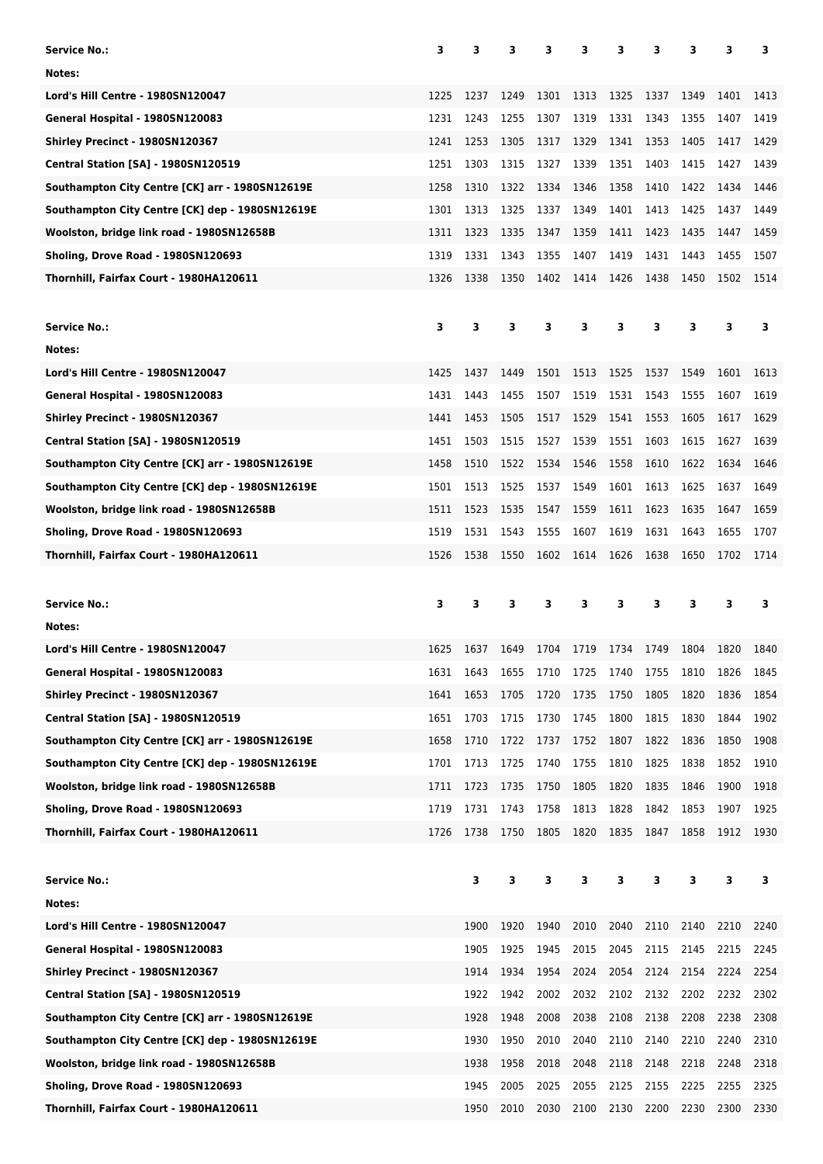| Service No.:                                    | 3    | 3    | 3    | з    | 3            | 3    | 3    | 3    | 3    | 3    |
|-------------------------------------------------|------|------|------|------|--------------|------|------|------|------|------|
| Notes:                                          |      |      |      |      |              |      |      |      |      |      |
| <b>Lord's Hill Centre - 1980SN120047</b>        | 1225 | 1237 | 1249 | 1301 | 1313         | 1325 | 1337 | 1349 | 1401 | 1413 |
| General Hospital - 1980SN120083                 | 1231 | 1243 | 1255 | 1307 | 1319         | 1331 | 1343 | 1355 | 1407 | 1419 |
| Shirley Precinct - 1980SN120367                 | 1241 | 1253 | 1305 | 1317 | 1329         | 1341 | 1353 | 1405 | 1417 | 1429 |
| <b>Central Station [SA] - 1980SN120519</b>      | 1251 | 1303 | 1315 | 1327 | 1339         | 1351 | 1403 | 1415 | 1427 | 1439 |
| Southampton City Centre [CK] arr - 1980SN12619E | 1258 | 1310 | 1322 | 1334 | 1346         | 1358 | 1410 | 1422 | 1434 | 1446 |
| Southampton City Centre [CK] dep - 1980SN12619E | 1301 | 1313 | 1325 | 1337 | 1349         | 1401 | 1413 | 1425 | 1437 | 1449 |
| Woolston, bridge link road - 1980SN12658B       | 1311 | 1323 | 1335 | 1347 | 1359         | 1411 | 1423 | 1435 | 1447 | 1459 |
| Sholing, Drove Road - 1980SN120693              | 1319 | 1331 | 1343 | 1355 | 1407         | 1419 | 1431 | 1443 | 1455 | 1507 |
| Thornhill, Fairfax Court - 1980HA120611         | 1326 | 1338 | 1350 | 1402 | 1414         | 1426 | 1438 | 1450 | 1502 | 1514 |
|                                                 |      |      |      |      |              |      |      |      |      |      |
| Service No.:                                    | з    | 3    | 3    | З    | 3            | з    | з    | 3    | 3    | 3    |
| Notes:                                          |      |      |      |      |              |      |      |      |      |      |
| Lord's Hill Centre - 1980SN120047               | 1425 | 1437 | 1449 | 1501 | 1513         | 1525 | 1537 | 1549 | 1601 | 1613 |
| General Hospital - 1980SN120083                 | 1431 | 1443 | 1455 | 1507 | 1519         | 1531 | 1543 | 1555 | 1607 | 1619 |
| Shirley Precinct - 1980SN120367                 | 1441 | 1453 | 1505 | 1517 | 1529         | 1541 | 1553 | 1605 | 1617 | 1629 |
| <b>Central Station [SA] - 1980SN120519</b>      | 1451 | 1503 | 1515 | 1527 | 1539         | 1551 | 1603 | 1615 | 1627 | 1639 |
| Southampton City Centre [CK] arr - 1980SN12619E | 1458 | 1510 | 1522 | 1534 | 1546         | 1558 | 1610 | 1622 | 1634 | 1646 |
| Southampton City Centre [CK] dep - 1980SN12619E | 1501 | 1513 | 1525 | 1537 | 1549         | 1601 | 1613 | 1625 | 1637 | 1649 |
| Woolston, bridge link road - 1980SN12658B       | 1511 | 1523 | 1535 | 1547 | 1559         | 1611 | 1623 | 1635 | 1647 | 1659 |
| Sholing, Drove Road - 1980SN120693              | 1519 | 1531 | 1543 | 1555 | 1607         | 1619 | 1631 | 1643 | 1655 | 1707 |
| Thornhill, Fairfax Court - 1980HA120611         | 1526 | 1538 | 1550 | 1602 | 1614         | 1626 | 1638 | 1650 | 1702 | 1714 |
|                                                 |      |      |      |      |              |      |      |      |      |      |
|                                                 |      |      |      |      |              |      |      |      |      |      |
| <b>Service No.:</b>                             | 3    | 3    | 3    | 3    | 3            | 3    | З    | 3    | 3    | 3    |
| Notes:                                          |      |      |      |      |              |      |      |      |      |      |
| Lord's Hill Centre - 1980SN120047               | 1625 | 1637 | 1649 | 1704 | 1719         | 1734 | 1749 | 1804 | 1820 | 1840 |
| General Hospital - 1980SN120083                 | 1631 | 1643 | 1655 | 1710 |              | 1740 | 1755 | 1810 | 1826 | 1845 |
| Shirley Precinct - 1980SN120367                 | 1641 | 1653 | 1705 | 1720 | 1725<br>1735 | 1750 | 1805 | 1820 | 1836 | 1854 |
| Central Station [SA] - 1980SN120519             | 1651 | 1703 | 1715 | 1730 | 1745         | 1800 | 1815 | 1830 | 1844 | 1902 |
| Southampton City Centre [CK] arr - 1980SN12619E | 1658 | 1710 | 1722 | 1737 | 1752         | 1807 | 1822 | 1836 | 1850 | 1908 |
| Southampton City Centre [CK] dep - 1980SN12619E | 1701 | 1713 | 1725 | 1740 | 1755         | 1810 | 1825 | 1838 | 1852 | 1910 |
| Woolston, bridge link road - 1980SN12658B       | 1711 | 1723 | 1735 | 1750 | 1805         | 1820 | 1835 | 1846 | 1900 | 1918 |
| Sholing, Drove Road - 1980SN120693              | 1719 | 1731 | 1743 | 1758 | 1813         | 1828 | 1842 | 1853 | 1907 | 1925 |
| Thornhill, Fairfax Court - 1980HA120611         | 1726 | 1738 | 1750 | 1805 | 1820         | 1835 | 1847 | 1858 | 1912 | 1930 |
|                                                 |      |      |      |      |              |      |      |      |      |      |
| <b>Service No.:</b>                             |      | 3    | 3    | 3    | 3            | 3    | 3    | 3    | 3    | 3    |
| Notes:                                          |      |      |      |      |              |      |      |      |      |      |
| <b>Lord's Hill Centre - 1980SN120047</b>        |      | 1900 | 1920 | 1940 | 2010         | 2040 | 2110 | 2140 | 2210 | 2240 |
| General Hospital - 1980SN120083                 |      | 1905 | 1925 | 1945 | 2015         | 2045 | 2115 | 2145 | 2215 | 2245 |
| Shirley Precinct - 1980SN120367                 |      | 1914 | 1934 | 1954 | 2024         | 2054 | 2124 | 2154 | 2224 | 2254 |
| <b>Central Station [SA] - 1980SN120519</b>      |      | 1922 | 1942 | 2002 | 2032         | 2102 | 2132 | 2202 | 2232 | 2302 |
| Southampton City Centre [CK] arr - 1980SN12619E |      | 1928 | 1948 | 2008 | 2038         | 2108 | 2138 | 2208 | 2238 | 2308 |
| Southampton City Centre [CK] dep - 1980SN12619E |      | 1930 | 1950 | 2010 | 2040         | 2110 | 2140 | 2210 | 2240 | 2310 |
| Woolston, bridge link road - 1980SN12658B       |      | 1938 | 1958 | 2018 | 2048         | 2118 | 2148 | 2218 | 2248 | 2318 |
| Sholing, Drove Road - 1980SN120693              |      | 1945 | 2005 | 2025 | 2055         | 2125 | 2155 | 2225 | 2255 | 2325 |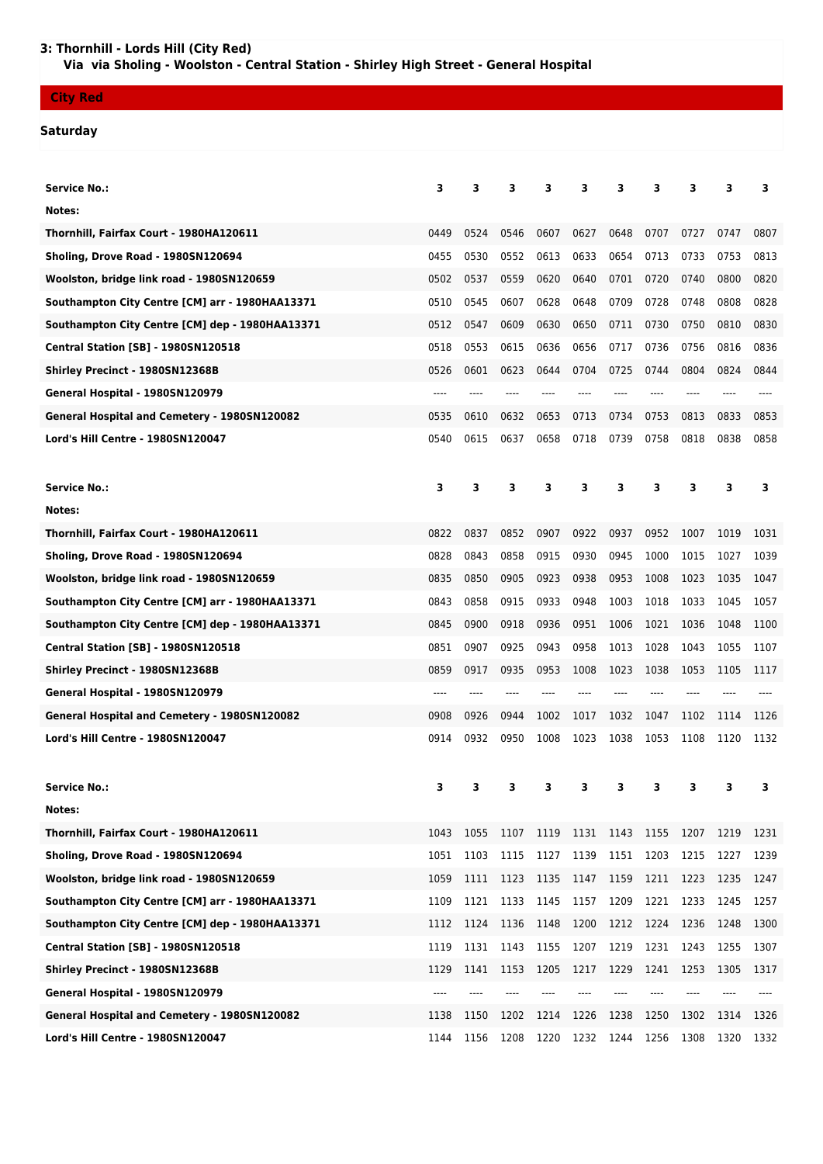### **City Red**

# **Saturday**

| <b>Service No.:</b>                                 | з    | 3    | 3    | 3    | 3    | 3    | 3    | з    | 3    | з    |
|-----------------------------------------------------|------|------|------|------|------|------|------|------|------|------|
| Notes:                                              |      |      |      |      |      |      |      |      |      |      |
| Thornhill, Fairfax Court - 1980HA120611             | 0449 | 0524 | 0546 | 0607 | 0627 | 0648 | 0707 | 0727 | 0747 | 0807 |
| Sholing, Drove Road - 1980SN120694                  | 0455 | 0530 | 0552 | 0613 | 0633 | 0654 | 0713 | 0733 | 0753 | 0813 |
| Woolston, bridge link road - 1980SN120659           | 0502 | 0537 | 0559 | 0620 | 0640 | 0701 | 0720 | 0740 | 0800 | 0820 |
| Southampton City Centre [CM] arr - 1980HAA13371     | 0510 | 0545 | 0607 | 0628 | 0648 | 0709 | 0728 | 0748 | 0808 | 0828 |
| Southampton City Centre [CM] dep - 1980HAA13371     | 0512 | 0547 | 0609 | 0630 | 0650 | 0711 | 0730 | 0750 | 0810 | 0830 |
| <b>Central Station [SB] - 1980SN120518</b>          | 0518 | 0553 | 0615 | 0636 | 0656 | 0717 | 0736 | 0756 | 0816 | 0836 |
| Shirley Precinct - 1980SN12368B                     | 0526 | 0601 | 0623 | 0644 | 0704 | 0725 | 0744 | 0804 | 0824 | 0844 |
| General Hospital - 1980SN120979                     | ---- |      |      |      |      |      |      |      |      |      |
| <b>General Hospital and Cemetery - 1980SN120082</b> | 0535 | 0610 | 0632 | 0653 | 0713 | 0734 | 0753 | 0813 | 0833 | 0853 |
| Lord's Hill Centre - 1980SN120047                   | 0540 | 0615 | 0637 | 0658 | 0718 | 0739 | 0758 | 0818 | 0838 | 0858 |
| <b>Service No.:</b>                                 | з    | 3    | 3    | 3    | 3    | 3    | 3    | 3    | 3    | 3    |
| Notes:                                              |      |      |      |      |      |      |      |      |      |      |
| Thornhill, Fairfax Court - 1980HA120611             | 0822 | 0837 | 0852 | 0907 | 0922 | 0937 | 0952 | 1007 | 1019 | 1031 |
| Sholing, Drove Road - 1980SN120694                  | 0828 | 0843 | 0858 | 0915 | 0930 | 0945 | 1000 | 1015 | 1027 | 1039 |
| Woolston, bridge link road - 1980SN120659           | 0835 | 0850 | 0905 | 0923 | 0938 | 0953 | 1008 | 1023 | 1035 | 1047 |
| Southampton City Centre [CM] arr - 1980HAA13371     | 0843 | 0858 | 0915 | 0933 | 0948 | 1003 | 1018 | 1033 | 1045 | 1057 |
| Southampton City Centre [CM] dep - 1980HAA13371     | 0845 | 0900 | 0918 | 0936 | 0951 | 1006 | 1021 | 1036 | 1048 | 1100 |
| <b>Central Station [SB] - 1980SN120518</b>          | 0851 | 0907 | 0925 | 0943 | 0958 | 1013 | 1028 | 1043 | 1055 | 1107 |
| Shirley Precinct - 1980SN12368B                     | 0859 | 0917 | 0935 | 0953 | 1008 | 1023 | 1038 | 1053 | 1105 | 1117 |
| General Hospital - 1980SN120979                     | ---- |      |      |      |      |      | ---- |      |      |      |
| General Hospital and Cemetery - 1980SN120082        | 0908 | 0926 | 0944 | 1002 | 1017 | 1032 | 1047 | 1102 | 1114 | 1126 |
| Lord's Hill Centre - 1980SN120047                   | 0914 | 0932 | 0950 | 1008 | 1023 | 1038 | 1053 | 1108 | 1120 | 1132 |
|                                                     |      |      |      |      |      |      |      |      |      |      |
| <b>Service No.:</b>                                 | 3    | 3    | 3.   | 3    | 3    | 3    | 3    | 3    | 3.   | 3.   |
| Notes:                                              |      |      |      |      |      |      |      |      |      |      |
| Thornhill, Fairfax Court - 1980HA120611             | 1043 | 1055 | 1107 | 1119 | 1131 | 1143 | 1155 | 1207 | 1219 | 1231 |
| Sholing, Drove Road - 1980SN120694                  | 1051 | 1103 | 1115 | 1127 | 1139 | 1151 | 1203 | 1215 | 1227 | 1239 |
| Woolston, bridge link road - 1980SN120659           | 1059 | 1111 | 1123 | 1135 | 1147 | 1159 | 1211 | 1223 | 1235 | 1247 |
| Southampton City Centre [CM] arr - 1980HAA13371     | 1109 | 1121 | 1133 | 1145 | 1157 | 1209 | 1221 | 1233 | 1245 | 1257 |
| Southampton City Centre [CM] dep - 1980HAA13371     | 1112 | 1124 | 1136 | 1148 | 1200 | 1212 | 1224 | 1236 | 1248 | 1300 |
| <b>Central Station [SB] - 1980SN120518</b>          | 1119 | 1131 | 1143 | 1155 | 1207 | 1219 | 1231 | 1243 | 1255 | 1307 |
| Shirley Precinct - 1980SN12368B                     | 1129 | 1141 | 1153 | 1205 | 1217 | 1229 | 1241 | 1253 | 1305 | 1317 |
| General Hospital - 1980SN120979                     | ---- | ---- |      |      |      | ---- | ---- |      |      |      |
| General Hospital and Cemetery - 1980SN120082        | 1138 | 1150 | 1202 | 1214 | 1226 | 1238 | 1250 | 1302 | 1314 | 1326 |
| Lord's Hill Centre - 1980SN120047                   | 1144 | 1156 | 1208 | 1220 | 1232 | 1244 | 1256 | 1308 | 1320 | 1332 |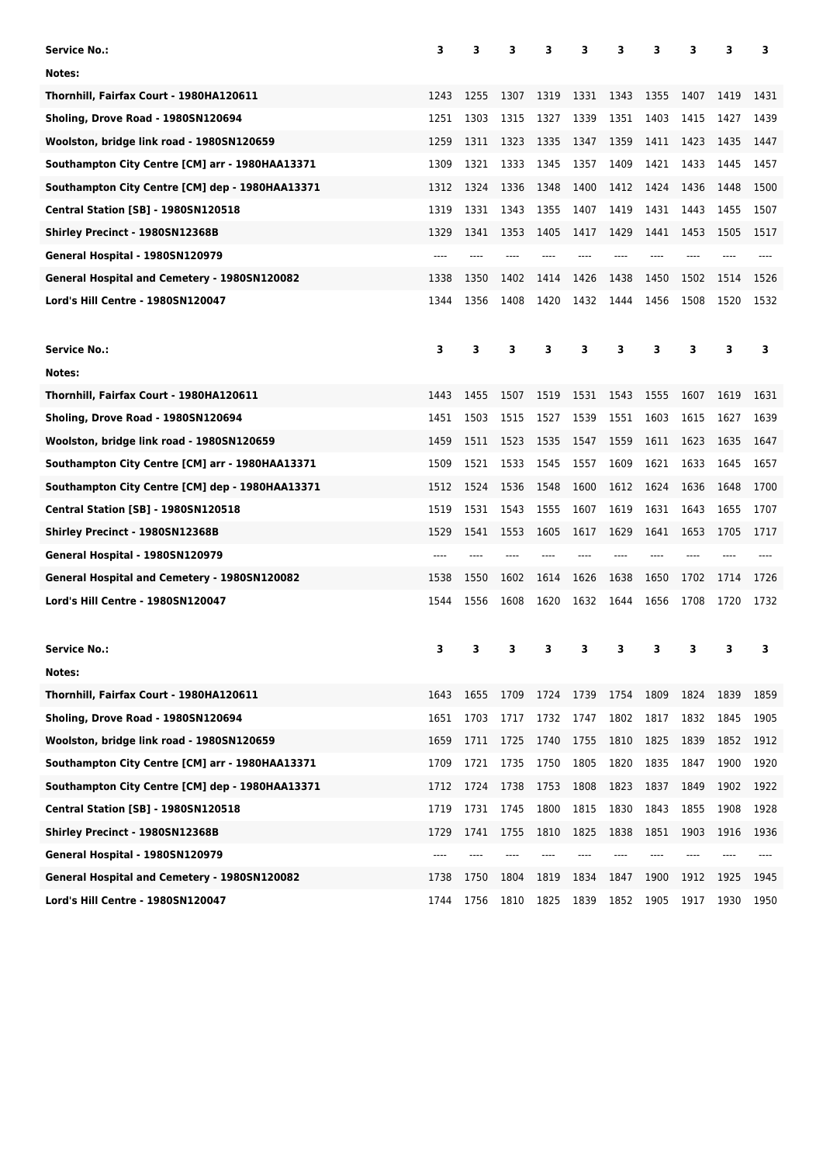| <b>Service No.:</b>                             | 3    | 3    | 3    | 3    | з    | 3    | 3    | 3    | 3    | 3    |
|-------------------------------------------------|------|------|------|------|------|------|------|------|------|------|
| Notes:                                          |      |      |      |      |      |      |      |      |      |      |
| Thornhill, Fairfax Court - 1980HA120611         | 1243 | 1255 | 1307 | 1319 | 1331 | 1343 | 1355 | 1407 | 1419 | 1431 |
| Sholing, Drove Road - 1980SN120694              | 1251 | 1303 | 1315 | 1327 | 1339 | 1351 | 1403 | 1415 | 1427 | 1439 |
| Woolston, bridge link road - 1980SN120659       | 1259 | 1311 | 1323 | 1335 | 1347 | 1359 | 1411 | 1423 | 1435 | 1447 |
| Southampton City Centre [CM] arr - 1980HAA13371 | 1309 | 1321 | 1333 | 1345 | 1357 | 1409 | 1421 | 1433 | 1445 | 1457 |
| Southampton City Centre [CM] dep - 1980HAA13371 | 1312 | 1324 | 1336 | 1348 | 1400 | 1412 | 1424 | 1436 | 1448 | 1500 |
| <b>Central Station [SB] - 1980SN120518</b>      | 1319 | 1331 | 1343 | 1355 | 1407 | 1419 | 1431 | 1443 | 1455 | 1507 |
| Shirley Precinct - 1980SN12368B                 | 1329 | 1341 | 1353 | 1405 | 1417 | 1429 | 1441 | 1453 | 1505 | 1517 |
| General Hospital - 1980SN120979                 | ---- |      |      |      |      |      |      |      |      |      |
| General Hospital and Cemetery - 1980SN120082    | 1338 | 1350 | 1402 | 1414 | 1426 | 1438 | 1450 | 1502 | 1514 | 1526 |
| Lord's Hill Centre - 1980SN120047               | 1344 | 1356 | 1408 | 1420 | 1432 | 1444 | 1456 | 1508 | 1520 | 1532 |
| <b>Service No.:</b>                             | 3    | 3    | 3    | 3    | 3    | 3    | 3    | 3    | 3    | з    |
| Notes:                                          |      |      |      |      |      |      |      |      |      |      |
| Thornhill, Fairfax Court - 1980HA120611         | 1443 | 1455 | 1507 | 1519 | 1531 | 1543 | 1555 | 1607 | 1619 | 1631 |
| Sholing, Drove Road - 1980SN120694              | 1451 | 1503 | 1515 | 1527 | 1539 | 1551 | 1603 | 1615 | 1627 | 1639 |
| Woolston, bridge link road - 1980SN120659       | 1459 | 1511 | 1523 | 1535 | 1547 | 1559 | 1611 | 1623 | 1635 | 1647 |
| Southampton City Centre [CM] arr - 1980HAA13371 | 1509 | 1521 | 1533 | 1545 | 1557 | 1609 | 1621 | 1633 | 1645 | 1657 |
| Southampton City Centre [CM] dep - 1980HAA13371 | 1512 | 1524 | 1536 | 1548 | 1600 | 1612 | 1624 | 1636 | 1648 | 1700 |
| <b>Central Station [SB] - 1980SN120518</b>      | 1519 | 1531 | 1543 | 1555 | 1607 | 1619 | 1631 | 1643 | 1655 | 1707 |
| Shirley Precinct - 1980SN12368B                 | 1529 | 1541 | 1553 | 1605 | 1617 | 1629 | 1641 | 1653 | 1705 | 1717 |
| General Hospital - 1980SN120979                 |      |      |      |      |      |      |      |      |      |      |
| General Hospital and Cemetery - 1980SN120082    | 1538 | 1550 | 1602 | 1614 | 1626 | 1638 | 1650 | 1702 | 1714 | 1726 |
| Lord's Hill Centre - 1980SN120047               | 1544 | 1556 | 1608 | 1620 | 1632 | 1644 | 1656 | 1708 | 1720 | 1732 |
| <b>Service No.:</b>                             | з    | з    | з    | 3    | з    | з    | з    | 3    | 3    | 3    |
| Notes:                                          |      |      |      |      |      |      |      |      |      |      |
| Thornhill, Fairfax Court - 1980HA120611         | 1643 | 1655 | 1709 | 1724 | 1739 | 1754 | 1809 | 1824 | 1839 | 1859 |
| Sholing, Drove Road - 1980SN120694              | 1651 | 1703 | 1717 | 1732 | 1747 | 1802 | 1817 | 1832 | 1845 | 1905 |
| Woolston, bridge link road - 1980SN120659       | 1659 | 1711 | 1725 | 1740 | 1755 | 1810 | 1825 | 1839 | 1852 | 1912 |
| Southampton City Centre [CM] arr - 1980HAA13371 | 1709 | 1721 | 1735 | 1750 | 1805 | 1820 | 1835 | 1847 | 1900 | 1920 |
| Southampton City Centre [CM] dep - 1980HAA13371 | 1712 | 1724 | 1738 | 1753 | 1808 | 1823 | 1837 | 1849 | 1902 | 1922 |
| <b>Central Station [SB] - 1980SN120518</b>      | 1719 | 1731 | 1745 | 1800 | 1815 | 1830 | 1843 | 1855 | 1908 | 1928 |
| Shirley Precinct - 1980SN12368B                 | 1729 | 1741 | 1755 | 1810 | 1825 | 1838 | 1851 | 1903 | 1916 | 1936 |
| General Hospital - 1980SN120979                 |      |      |      | ---- |      |      |      |      |      |      |
| General Hospital and Cemetery - 1980SN120082    | 1738 | 1750 | 1804 | 1819 | 1834 | 1847 | 1900 | 1912 | 1925 | 1945 |
| Lord's Hill Centre - 1980SN120047               | 1744 | 1756 | 1810 | 1825 | 1839 | 1852 | 1905 | 1917 | 1930 | 1950 |